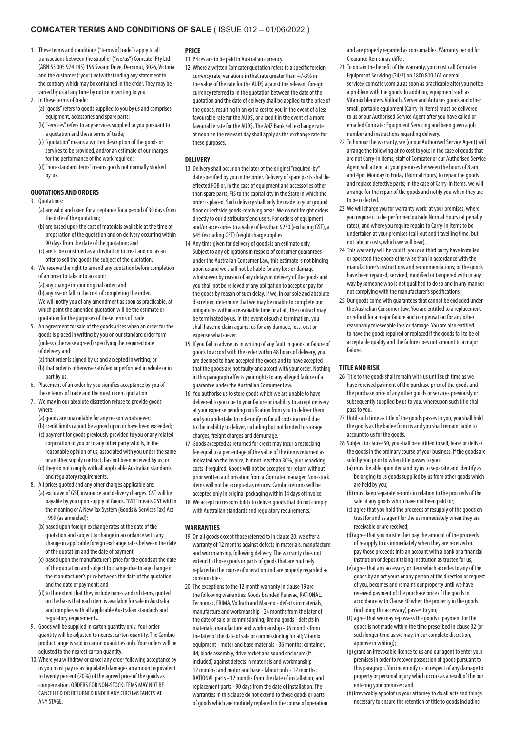# **COMCATER TERMS AND CONDITIONS OF SALE** ( ISSUE 012 – 01/06/2022 )

- 1. These terms and conditions ("terms of trade") apply to all transactions between the supplier ("we/us") Comcater Pty Ltd (ABN 53 005 974 185) 156 Swann Drive, Derrimut, 3026, Victoria and the customer ("you") notwithstanding any statement to the contrary which may be contained in the order. They may be varied by us at any time by notice in writing to you.
- 2. In these terms of trade:
	- (a)"goods" refers to goods supplied to you by us and comprises equipment, accessories and spare parts;
	- (b)"services" refers to any services supplied to you pursuant to a quotation and these terms of trade;
	- (c) "quotation" means a written description of the goods or services to be provided, and/or an estimate of our charges for the performance of the work required;
	- (d)"non-standard items" means goods not normally stocked by us.

#### **QUOTATIONS AND ORDERS**

- 3. Quotations:
	- (a) are valid and open for acceptance for a period of 30 days from the date of the quotation;
	- (b)are based upon the cost of materials available at the time of preparation of the quotation and on delivery occurring within 90 days from the date of the quotation; and
	- (c)are to be construed as an invitation to treat and not as an offer to sell the goods the subject of the quotation.
- 4. We reserve the right to amend any quotation before completion of an order to take into account:
	- (a) any change in your original order; and

(b)any rise or fall in the cost of completing the order. We will notify you of any amendment as soon as practicable, at which point the amended quotation will be the estimate or quotation for the purposes of these terms of trade.

5. An agreement for sale of the goods arises when an order for the goods is placed in writing by you on our standard order form (unless otherwise agreed) specifying the required date of delivery and:

(a) that order is signed by us and accepted in writing; or (b) that order is otherwise satisfied or performed in whole or in

- part by us. 6. Placement of an order by you signifies acceptance by you of
- these terms of trade and the most recent quotation.
- 7. We may in our absolute discretion refuse to provide goods where:

(a) goods are unavailable for any reason whatsoever;

- (b) credit limits cannot be agreed upon or have been exceeded;  $(c)$  payment for goods previously provided to you or any related corporation of you or to any other party who is, in the
- reasonable opinion of us, associated with you under the same or another supply contract, has not been received by us; or (d) they do not comply with all applicable Australian standards
- and regulatory requirements. 8. All prices quoted and any other charges applicable are:
	- (a) exclusive of GST, insurance and delivery charges. GST will be payable by you upon supply of Goods. "GST" means GST within the meaning of A New Tax System (Goods & Services Tax) Act 1999 (as amended);
	- (b) based upon foreign exchange rates at the date of the quotation and subject to change in accordance with any change in applicable foreign exchange rates between the date of the quotation and the date of payment;
	- (c) based upon the manufacturer's price for the goods at the date of the quotation and subject to change due to any change in the manufacturer's price between the date of the quotation and the date of payment; and
	- (d) to the extent that they include non-standard items, quoted on the basis that each item is available for sale in Australia and complies with all applicable Australian standards and regulatory requirements.
- 9. Goods will be supplied in carton quantity only. Your order quantity will be adjusted to nearest carton quantity. The Cambro product range is sold in carton quantities only. Your orders will be adjusted to the nearest carton quantity.
- 10.Where you withdraw or cancel any order following acceptance by us you must pay us as liquidated damages an amount equivalent to twenty percent (20%) of the agreed price of the goods as compensation. ORDERS FOR NON-STOCK ITEMS MAY NOT BE CANCELLED OR RETURNED UNDER ANY CIRCUMSTANCES AT ANY STAGE.

## **PRICE**

- 11.Prices are to be paid in Australian currency.
- 12.Where a written Comcater quotation refers to a specific foreign currency rate, variations in that rate greater than +/-3% in the value of the rate for the AUD\$ against the relevant foreign currency referred to in the quotation between the date of the quotation and the date of delivery shall be applied to the price of the goods, resulting in an extra cost to you in the event of a less favourable rate for the AUD\$, or a credit in the event of a more favourable rate for the AUD\$. The ANZ Bank sell exchange rate at noon on the relevant day shall apply as the exchange rate for these purposes.

## **DELIVERY**

- 13. Delivery shall occur on the later of the original "required-by" date specified by you in the order. Delivery of spare parts shall be effected FOB or, in the case of equipment and accessories other than spare parts, FIS to the capital city in the State in which the order is placed. Such delivery shall only be made to your ground floor or kerbside goods-receiving areas. We do not freight orders directly to our distributors' end users. For orders of equipment and/or accessories to a value of less than \$250 (excluding GST), a \$45 (excluding GST) freight charge applies.
- 14. Any time given for delivery of goods is an estimate only. Subject to any obligations in respect of consumer guarantees under the Australian Consumer Law, this estimate is not binding upon us and we shall not be liable for any loss or damage whatsoever by reason of any delays in delivery of the goods and you shall not be relieved of any obligation to accept or pay for the goods by reason of such delay. If we, in our sole and absolute discretion, determine that we may be unable to complete our obligations within a reasonable time or at all, the contract may be terminated by us. In the event of such a termination, you shall have no claim against us for any damage, loss, cost or expense whatsoever.
- 15. If you fail to advise us in writing of any fault in goods or failure of goods to accord with the order within 48 hours of delivery, you are deemed to have accepted the goods and to have accepted that the goods are not faulty and accord with your order. Nothing in this paragraph affects your rights to any alleged failure of a guarantee under the Australian Consumer Law.
- 16.You authorise us to store goods which we are unable to have delivered to you due to your failure or inability to accept delivery at your expense pending notification from you to deliver them and you undertake to indemnify us for all costs incurred due to the inability to deliver, including but not limited to storage charges, freight charges and demurrage.
- 17. Goods accepted as returned for credit may incur a restocking fee equal to a percentage of the value of the items returned as indicated on the invoice, but not less than 30%, plus repacking costs if required. Goods will not be accepted for return without prior written authorisation from a Comcater manager. Non-stock items will not be accepted as returns. Cambro returns will be accepted only in original packaging within 14 days of invoice.
- 18.We accept no responsibility to deliver goods that do not comply with Australian standards and regulatory requirements.

#### **WARRANTIES**

- 19. On all goods except those referred to in clause 20, we offer a warranty of 12 months against defects in materials, manufacture and workmanship, following delivery. The warranty does not extend to those goods or parts of goods that are routinely replaced in the course of operation and are properly regarded as consumables.
- 20.The exceptions to the 12 month warranty in clause 19 are the following warranties: Goods branded Purevac, RATIONAL, Tecnomac, FRIMA, Vollrath and Mareno - defects in materials, manufacture and workmanship - 24 months from the later of the date of sale or commissioning; Brema goods - defects in materials, manufacture and workmanship - 36 months from the later of the date of sale or commissioning for all; Vitamix equipment - motor and base materials - 36 months; container, lid, blade assembly, drive socket and sound enclosure (if included) against defects in materials and workmanship - 12 months; and motor and base - labour only - 12 months; RATIONAL parts - 12 months from the date of installation; and replacement parts - 90 days from the date of installation. The warranties in this clause do not extend to those goods or parts of goods which are routinely replaced in the course of operation

and are properly regarded as consumables. Warranty period for Clearance Items may differ.

- 21.To obtain the benefit of the warranty, you must call Comcater Equipment Servicing (24/7) on 1800 810 161 or email service@comcater.com.au as soon as practicable after you notice a problem with the goods. In addition, equipment such as Vitamix blenders, Vollrath, Server and Antunes goods and other small, portable equipment (Carry-In Items) must be delivered to us or our Authorised Service Agent after you have called or emailed Comcater Equipment Servicing and been given a job number and instructions regarding delivery.
- 22. To honour the warranty, we (or our Authorised Service Agent) will arrange the following at no cost to you: in the case of goods that are not Carry-In Items, staff of Comcater or our Authorised Service Agent will attend at your premises between the hours of 8 am and 4pm Monday to Friday (Normal Hours) to repair the goods and replace defective parts; in the case of Carry-In Items, we will arrange for the repair of the goods and notify you when they are to be collected.
- 23.We will charge you for warranty work: at your premises, where you require it to be performed outside Normal Hours (at penalty rates); and where you require repairs to Carry-In Items to be undertaken at your premises (call-out and travelling time, but not labour costs, which we will bear).
- 24.This warranty will be void if: you or a third party have installed or operated the goods otherwise than in accordance with the manufacturer's instructions and recommendations; or the goods have been repaired, serviced, modified or tampered with in any way by someone who is not qualified to do so and in any manner not complying with the manufacturer's specifications.
- 25. Our goods come with guarantees that cannot be excluded under the Australian Consumer Law. You are entitled to a replacement or refund for a major failure and compensation for any other reasonably foreseeable loss or damage. You are also entitled to have the goods repaired or replaced if the goods fail to be of acceptable quality and the failure does not amount to a major failure.

### **TITLE AND RISK**

- 26.Title to the goods shall remain with us until such time as we have received payment of the purchase price of the goods and the purchase price of any other goods or services previously or subsequently supplied by us to you, whereupon such title shall pass to you.
- 27. Until such time as title of the goods passes to you, you shall hold the goods as the bailee from us and you shall remain liable to account to us for the goods.
- 28.Subject to clause 30, you shall be entitled to sell, lease or deliver the goods in the ordinary course of your business. If the goods are sold by you prior to when title passes to you:
	- (a)must be able upon demand by us to separate and identify as belonging to us goods supplied by us from other goods which are held by you;
	- (b) must keep separate records in relation to the proceeds of the sale of any goods which have not been paid for;
	- (c) agree that you hold the proceeds of resupply of the goods on trust for and as agent for the us immediately when they are receivable or are received;
	- (d)agree that you must either pay the amount of the proceeds of resupply to us immediately when they are received or pay those proceeds into an account with a bank or a financial institution or deposit taking institution as trustee for us;
	- (e)agree that any accessory or item which accedes to any of the goods by an act yours or any person at the direction or request of you, becomes and remains our property until we have received payment of the purchase price of the goods in accordance with Clause 30 when the property in the goods (including the accessory) passes to you;
	- (f) agree that we may repossess the goods if payment for the goods is not made within the time prescribed in clause 32 (or such longer time as we may, in our complete discretion, approve in writing);
	- (g)grant an irrevocable licence to us and our agent to enter your premises in order to recover possession of goods pursuant to this paragraph. You indemnify us in respect of any damage to property or personal injury which occurs as a result of the our entering your premises; and
	- (h) irrevocably appoint us your attorney to do all acts and things necessary to ensure the retention of title to goods including